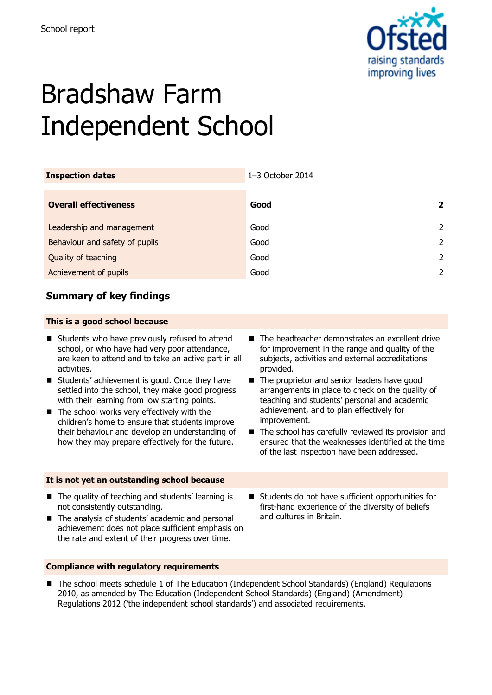

# Bradshaw Farm Independent School

| <b>Inspection dates</b>        | 1-3 October 2014 |                |
|--------------------------------|------------------|----------------|
| <b>Overall effectiveness</b>   | Good             | 2              |
| Leadership and management      | Good             | 2              |
| Behaviour and safety of pupils | Good             | $\mathcal{L}$  |
| Quality of teaching            | Good             | $\overline{2}$ |
| Achievement of pupils          | Good             | 2              |

# **Summary of key findings**

### **This is a good school because**

- $\blacksquare$  Students who have previously refused to attend school, or who have had very poor attendance, are keen to attend and to take an active part in all activities.
- Students' achievement is good. Once they have settled into the school, they make good progress with their learning from low starting points.
- The school works very effectively with the children's home to ensure that students improve their behaviour and develop an understanding of how they may prepare effectively for the future.

#### **It is not yet an outstanding school because**

- The headteacher demonstrates an excellent drive for improvement in the range and quality of the subjects, activities and external accreditations provided.
- The proprietor and senior leaders have good arrangements in place to check on the quality of teaching and students' personal and academic achievement, and to plan effectively for improvement.
- $\blacksquare$  The school has carefully reviewed its provision and ensured that the weaknesses identified at the time of the last inspection have been addressed.
- The quality of teaching and students' learning is not consistently outstanding.
- The analysis of students' academic and personal achievement does not place sufficient emphasis on the rate and extent of their progress over time.

#### Students do not have sufficient opportunities for first-hand experience of the diversity of beliefs and cultures in Britain.

#### **Compliance with regulatory requirements**

■ The school meets schedule 1 of The Education (Independent School Standards) (England) Regulations 2010, as amended by The Education (Independent School Standards) (England) (Amendment) Regulations 2012 ('the independent school standards') and associated requirements.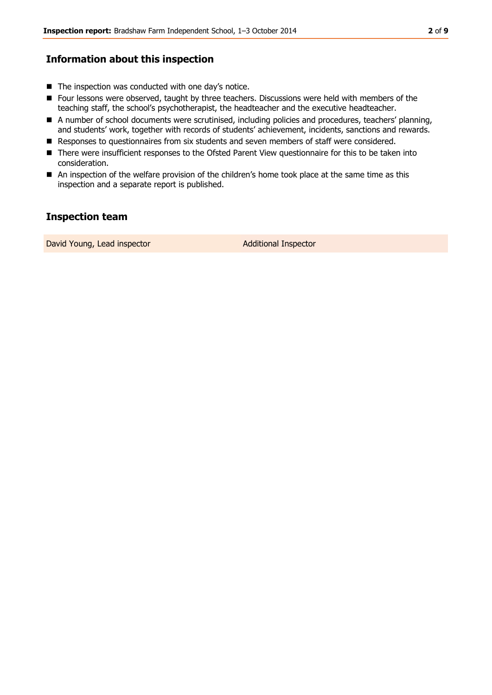# **Information about this inspection**

- $\blacksquare$  The inspection was conducted with one day's notice.
- Four lessons were observed, taught by three teachers. Discussions were held with members of the teaching staff, the school's psychotherapist, the headteacher and the executive headteacher.
- A number of school documents were scrutinised, including policies and procedures, teachers' planning, and students' work, together with records of students' achievement, incidents, sanctions and rewards.
- Responses to questionnaires from six students and seven members of staff were considered.
- There were insufficient responses to the Ofsted Parent View questionnaire for this to be taken into consideration.
- An inspection of the welfare provision of the children's home took place at the same time as this inspection and a separate report is published.

# **Inspection team**

David Young, Lead inspector and a set of Additional Inspector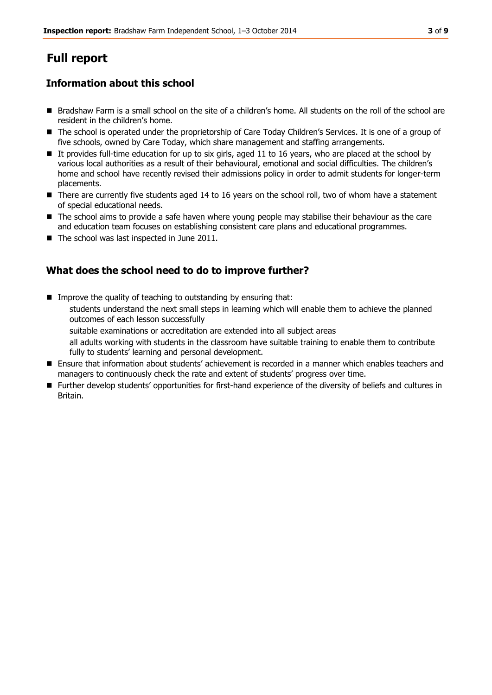# **Full report**

# **Information about this school**

- Bradshaw Farm is a small school on the site of a children's home. All students on the roll of the school are resident in the children's home.
- The school is operated under the proprietorship of Care Today Children's Services. It is one of a group of five schools, owned by Care Today, which share management and staffing arrangements.
- It provides full-time education for up to six girls, aged 11 to 16 years, who are placed at the school by various local authorities as a result of their behavioural, emotional and social difficulties. The children's home and school have recently revised their admissions policy in order to admit students for longer-term placements.
- There are currently five students aged 14 to 16 years on the school roll, two of whom have a statement of special educational needs.
- The school aims to provide a safe haven where young people may stabilise their behaviour as the care and education team focuses on establishing consistent care plans and educational programmes.
- The school was last inspected in June 2011.

# **What does the school need to do to improve further?**

- Improve the quality of teaching to outstanding by ensuring that: students understand the next small steps in learning which will enable them to achieve the planned outcomes of each lesson successfully
	- suitable examinations or accreditation are extended into all subject areas
	- all adults working with students in the classroom have suitable training to enable them to contribute fully to students' learning and personal development.
- Ensure that information about students' achievement is recorded in a manner which enables teachers and managers to continuously check the rate and extent of students' progress over time.
- Further develop students' opportunities for first-hand experience of the diversity of beliefs and cultures in Britain.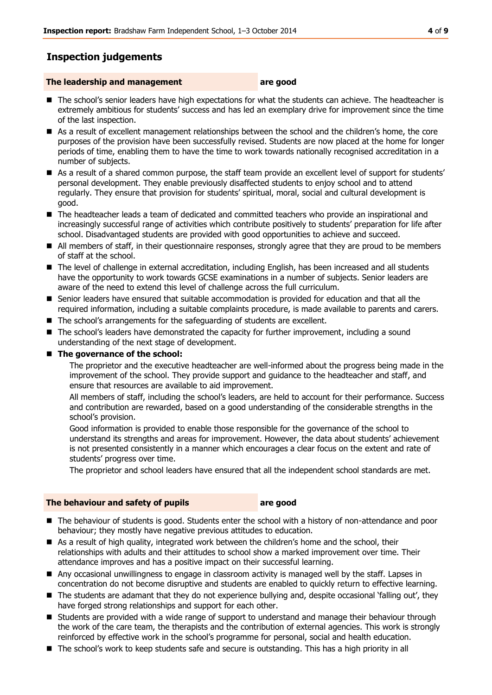# **Inspection judgements**

### **The leadership and management are good**

- The school's senior leaders have high expectations for what the students can achieve. The headteacher is extremely ambitious for students' success and has led an exemplary drive for improvement since the time of the last inspection.
- As a result of excellent management relationships between the school and the children's home, the core purposes of the provision have been successfully revised. Students are now placed at the home for longer periods of time, enabling them to have the time to work towards nationally recognised accreditation in a number of subjects.
- As a result of a shared common purpose, the staff team provide an excellent level of support for students' personal development. They enable previously disaffected students to enjoy school and to attend regularly. They ensure that provision for students' spiritual, moral, social and cultural development is good.
- The headteacher leads a team of dedicated and committed teachers who provide an inspirational and increasingly successful range of activities which contribute positively to students' preparation for life after school. Disadvantaged students are provided with good opportunities to achieve and succeed.
- All members of staff, in their questionnaire responses, strongly agree that they are proud to be members of staff at the school.
- The level of challenge in external accreditation, including English, has been increased and all students have the opportunity to work towards GCSE examinations in a number of subjects. Senior leaders are aware of the need to extend this level of challenge across the full curriculum.
- **Senior leaders have ensured that suitable accommodation is provided for education and that all the** required information, including a suitable complaints procedure, is made available to parents and carers.
- The school's arrangements for the safeguarding of students are excellent.
- The school's leaders have demonstrated the capacity for further improvement, including a sound understanding of the next stage of development.

#### ■ The governance of the school:

The proprietor and the executive headteacher are well-informed about the progress being made in the improvement of the school. They provide support and guidance to the headteacher and staff, and ensure that resources are available to aid improvement.

All members of staff, including the school's leaders, are held to account for their performance. Success and contribution are rewarded, based on a good understanding of the considerable strengths in the school's provision.

Good information is provided to enable those responsible for the governance of the school to understand its strengths and areas for improvement. However, the data about students' achievement is not presented consistently in a manner which encourages a clear focus on the extent and rate of students' progress over time.

The proprietor and school leaders have ensured that all the independent school standards are met.

#### **The behaviour and safety of pupils are good**

- The behaviour of students is good. Students enter the school with a history of non-attendance and poor behaviour; they mostly have negative previous attitudes to education.
- As a result of high quality, integrated work between the children's home and the school, their relationships with adults and their attitudes to school show a marked improvement over time. Their attendance improves and has a positive impact on their successful learning.
- Any occasional unwillingness to engage in classroom activity is managed well by the staff. Lapses in concentration do not become disruptive and students are enabled to quickly return to effective learning.
- The students are adamant that they do not experience bullying and, despite occasional 'falling out', they have forged strong relationships and support for each other.
- **Students are provided with a wide range of support to understand and manage their behaviour through** the work of the care team, the therapists and the contribution of external agencies. This work is strongly reinforced by effective work in the school's programme for personal, social and health education.
- The school's work to keep students safe and secure is outstanding. This has a high priority in all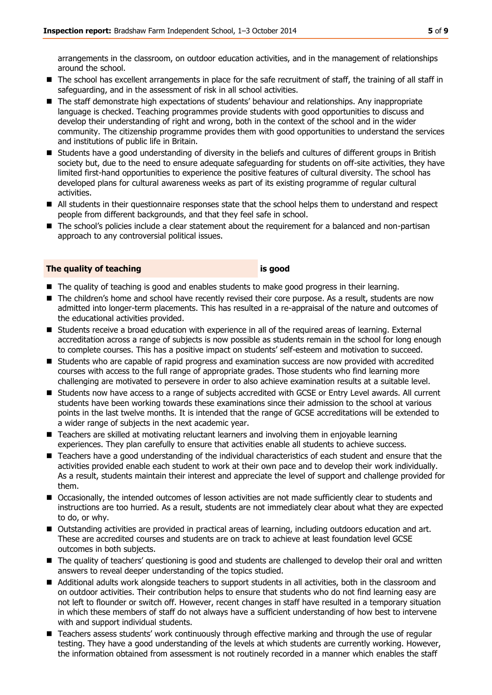arrangements in the classroom, on outdoor education activities, and in the management of relationships around the school.

- The school has excellent arrangements in place for the safe recruitment of staff, the training of all staff in safeguarding, and in the assessment of risk in all school activities.
- The staff demonstrate high expectations of students' behaviour and relationships. Any inappropriate language is checked. Teaching programmes provide students with good opportunities to discuss and develop their understanding of right and wrong, both in the context of the school and in the wider community. The citizenship programme provides them with good opportunities to understand the services and institutions of public life in Britain.
- Students have a good understanding of diversity in the beliefs and cultures of different groups in British society but, due to the need to ensure adequate safeguarding for students on off-site activities, they have limited first-hand opportunities to experience the positive features of cultural diversity. The school has developed plans for cultural awareness weeks as part of its existing programme of regular cultural activities.
- All students in their questionnaire responses state that the school helps them to understand and respect people from different backgrounds, and that they feel safe in school.
- The school's policies include a clear statement about the requirement for a balanced and non-partisan approach to any controversial political issues.

#### **The quality of teaching is good**

- The quality of teaching is good and enables students to make good progress in their learning.
- The children's home and school have recently revised their core purpose. As a result, students are now admitted into longer-term placements. This has resulted in a re-appraisal of the nature and outcomes of the educational activities provided.
- Students receive a broad education with experience in all of the required areas of learning. External accreditation across a range of subjects is now possible as students remain in the school for long enough to complete courses. This has a positive impact on students' self-esteem and motivation to succeed.
- **Students who are capable of rapid progress and examination success are now provided with accredited** courses with access to the full range of appropriate grades. Those students who find learning more challenging are motivated to persevere in order to also achieve examination results at a suitable level.
- Students now have access to a range of subjects accredited with GCSE or Entry Level awards. All current students have been working towards these examinations since their admission to the school at various points in the last twelve months. It is intended that the range of GCSE accreditations will be extended to a wider range of subjects in the next academic year.
- Teachers are skilled at motivating reluctant learners and involving them in enjoyable learning experiences. They plan carefully to ensure that activities enable all students to achieve success.
- Teachers have a good understanding of the individual characteristics of each student and ensure that the activities provided enable each student to work at their own pace and to develop their work individually. As a result, students maintain their interest and appreciate the level of support and challenge provided for them.
- Occasionally, the intended outcomes of lesson activities are not made sufficiently clear to students and instructions are too hurried. As a result, students are not immediately clear about what they are expected to do, or why.
- Outstanding activities are provided in practical areas of learning, including outdoors education and art. These are accredited courses and students are on track to achieve at least foundation level GCSE outcomes in both subjects.
- The quality of teachers' questioning is good and students are challenged to develop their oral and written answers to reveal deeper understanding of the topics studied.
- Additional adults work alongside teachers to support students in all activities, both in the classroom and on outdoor activities. Their contribution helps to ensure that students who do not find learning easy are not left to flounder or switch off. However, recent changes in staff have resulted in a temporary situation in which these members of staff do not always have a sufficient understanding of how best to intervene with and support individual students.
- Teachers assess students' work continuously through effective marking and through the use of regular testing. They have a good understanding of the levels at which students are currently working. However, the information obtained from assessment is not routinely recorded in a manner which enables the staff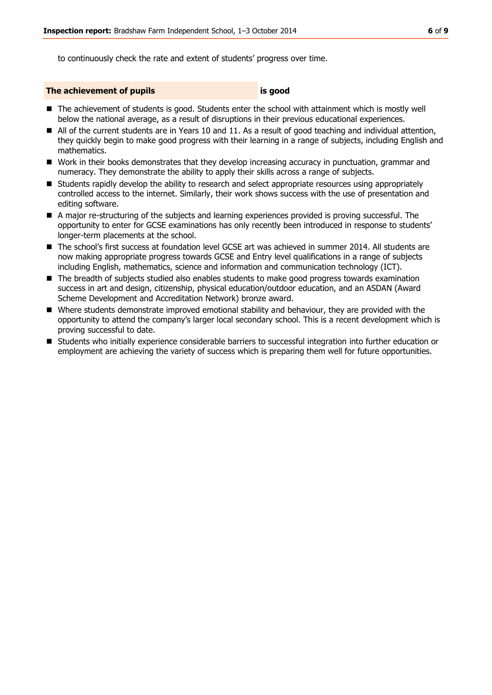to continuously check the rate and extent of students' progress over time.

#### **The achievement of pupils is good**

- The achievement of students is good. Students enter the school with attainment which is mostly well below the national average, as a result of disruptions in their previous educational experiences.
- All of the current students are in Years 10 and 11. As a result of good teaching and individual attention, they quickly begin to make good progress with their learning in a range of subjects, including English and mathematics.
- Work in their books demonstrates that they develop increasing accuracy in punctuation, grammar and numeracy. They demonstrate the ability to apply their skills across a range of subjects.
- **Students rapidly develop the ability to research and select appropriate resources using appropriately** controlled access to the internet. Similarly, their work shows success with the use of presentation and editing software.
- A major re-structuring of the subjects and learning experiences provided is proving successful. The opportunity to enter for GCSE examinations has only recently been introduced in response to students' longer-term placements at the school.
- The school's first success at foundation level GCSE art was achieved in summer 2014. All students are now making appropriate progress towards GCSE and Entry level qualifications in a range of subjects including English, mathematics, science and information and communication technology (ICT).
- The breadth of subjects studied also enables students to make good progress towards examination success in art and design, citizenship, physical education/outdoor education, and an ASDAN (Award Scheme Development and Accreditation Network) bronze award.
- Where students demonstrate improved emotional stability and behaviour, they are provided with the opportunity to attend the company's larger local secondary school. This is a recent development which is proving successful to date.
- Students who initially experience considerable barriers to successful integration into further education or employment are achieving the variety of success which is preparing them well for future opportunities.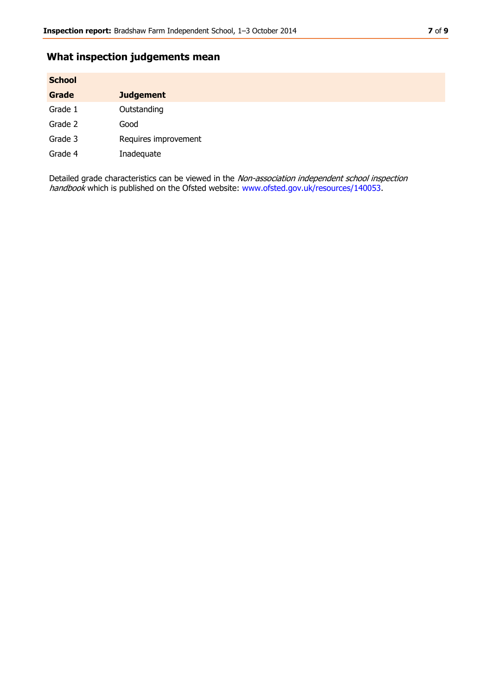# **What inspection judgements mean**

| <b>School</b> |                      |
|---------------|----------------------|
| <b>Grade</b>  | <b>Judgement</b>     |
| Grade 1       | Outstanding          |
| Grade 2       | Good                 |
| Grade 3       | Requires improvement |
| Grade 4       | Inadequate           |

Detailed grade characteristics can be viewed in the Non-association independent school inspection handbook which is published on the Ofsted website: [www.ofsted.gov.uk/resources/140053.](http://www.ofsted.gov.uk/resources/140053)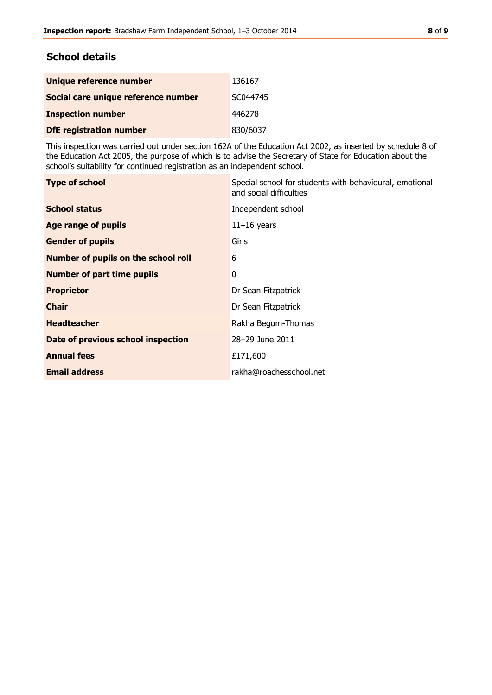## **School details**

| Unique reference number             | 136167   |
|-------------------------------------|----------|
| Social care unique reference number | SC044745 |
| <b>Inspection number</b>            | 446278   |
| <b>DfE</b> registration number      | 830/6037 |

This inspection was carried out under section 162A of the Education Act 2002, as inserted by schedule 8 of the Education Act 2005, the purpose of which is to advise the Secretary of State for Education about the school's suitability for continued registration as an independent school.

| <b>Type of school</b>               | Special school for students with behavioural, emotional<br>and social difficulties |
|-------------------------------------|------------------------------------------------------------------------------------|
| <b>School status</b>                | Independent school                                                                 |
| <b>Age range of pupils</b>          | $11-16$ years                                                                      |
| <b>Gender of pupils</b>             | Girls                                                                              |
| Number of pupils on the school roll | 6                                                                                  |
| <b>Number of part time pupils</b>   | 0                                                                                  |
| <b>Proprietor</b>                   | Dr Sean Fitzpatrick                                                                |
| <b>Chair</b>                        | Dr Sean Fitzpatrick                                                                |
| <b>Headteacher</b>                  | Rakha Begum-Thomas                                                                 |
| Date of previous school inspection  | 28-29 June 2011                                                                    |
| <b>Annual fees</b>                  | £171,600                                                                           |
| <b>Email address</b>                | rakha@roachesschool.net                                                            |